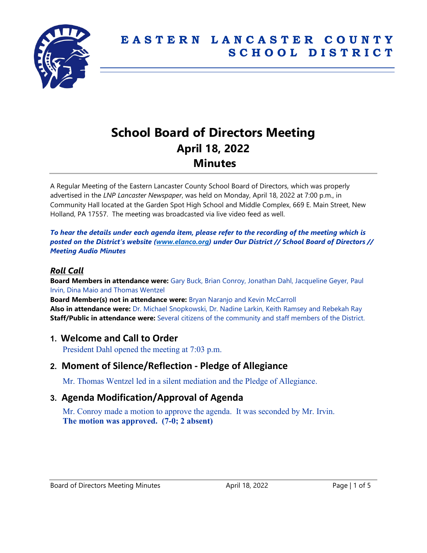

# **School Board of Directors Meeting April 18, 2022 Minutes**

A Regular Meeting of the Eastern Lancaster County School Board of Directors, which was properly advertised in the *LNP Lancaster Newspaper*, was held on Monday, April 18, 2022 at 7:00 p.m., in Community Hall located at the Garden Spot High School and Middle Complex, 669 E. Main Street, New Holland, PA 17557. The meeting was broadcasted via live video feed as well.

*To hear the details under each agenda item, please refer to the recording of the meeting which is posted on the District's website [\(www.elanco.org\)](www.elanco.org) under Our District // School Board of Directors // Meeting Audio Minutes*

## *Roll Call*

**Board Members in attendance were:** Gary Buck, Brian Conroy, Jonathan Dahl, Jacqueline Geyer, Paul Irvin, Dina Maio and Thomas Wentzel

**Board Member(s) not in attendance were:** Bryan Naranjo and Kevin McCarroll **Also in attendance were:** Dr. Michael Snopkowski, Dr. Nadine Larkin, Keith Ramsey and Rebekah Ray **Staff/Public in attendance were:** Several citizens of the community and staff members of the District.

## **1. Welcome and Call to Order**

President Dahl opened the meeting at 7:03 p.m.

# **2. Moment of Silence/Reflection - Pledge of Allegiance**

Mr. Thomas Wentzel led in a silent mediation and the Pledge of Allegiance.

# **3. Agenda Modification/Approval of Agenda**

Mr. Conroy made a motion to approve the agenda. It was seconded by Mr. Irvin. **The motion was approved. (7-0; 2 absent)**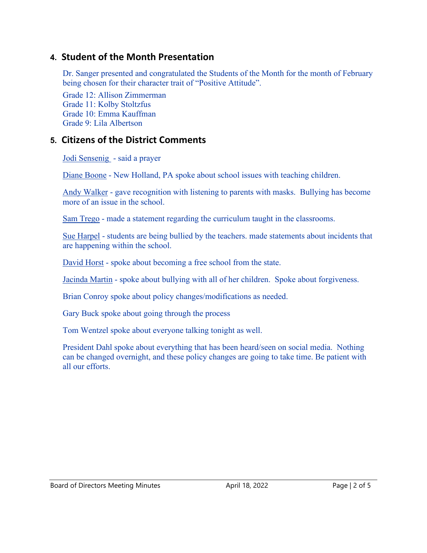# **4. Student of the Month Presentation**

Dr. Sanger presented and congratulated the Students of the Month for the month of February being chosen for their character trait of "Positive Attitude".

Grade 12: Allison Zimmerman Grade 11: Kolby Stoltzfus Grade 10: Emma Kauffman Grade 9: Lila Albertson

### **5. Citizens of the District Comments**

Jodi Sensenig - said a prayer

Diane Boone - New Holland, PA spoke about school issues with teaching children.

Andy Walker - gave recognition with listening to parents with masks. Bullying has become more of an issue in the school.

Sam Trego - made a statement regarding the curriculum taught in the classrooms.

Sue Harpel - students are being bullied by the teachers. made statements about incidents that are happening within the school.

David Horst - spoke about becoming a free school from the state.

Jacinda Martin - spoke about bullying with all of her children. Spoke about forgiveness.

Brian Conroy spoke about policy changes/modifications as needed.

Gary Buck spoke about going through the process

Tom Wentzel spoke about everyone talking tonight as well.

President Dahl spoke about everything that has been heard/seen on social media. Nothing can be changed overnight, and these policy changes are going to take time. Be patient with all our efforts.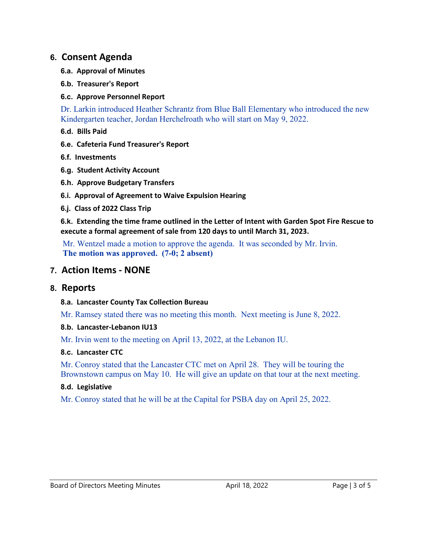## **6. Consent Agenda**

- **6.a. Approval of Minutes**
- **6.b. Treasurer's Report**

### **6.c. Approve Personnel Report**

Dr. Larkin introduced Heather Schrantz from Blue Ball Elementary who introduced the new Kindergarten teacher, Jordan Herchelroath who will start on May 9, 2022.

- **6.d. Bills Paid**
- **6.e. Cafeteria Fund Treasurer's Report**
- **6.f. Investments**
- **6.g. Student Activity Account**
- **6.h. Approve Budgetary Transfers**
- **6.i. Approval of Agreement to Waive Expulsion Hearing**
- **6.j. Class of 2022 Class Trip**

**6.k. Extending the time frame outlined in the Letter of Intent with Garden Spot Fire Rescue to execute a formal agreement of sale from 120 days to until March 31, 2023.**

Mr. Wentzel made a motion to approve the agenda. It was seconded by Mr. Irvin. **The motion was approved. (7-0; 2 absent)** 

## **7. Action Items - NONE**

## **8. Reports**

### **8.a. Lancaster County Tax Collection Bureau**

Mr. Ramsey stated there was no meeting this month. Next meeting is June 8, 2022.

- **8.b. Lancaster-Lebanon IU13**
- Mr. Irvin went to the meeting on April 13, 2022, at the Lebanon IU.

### **8.c. Lancaster CTC**

Mr. Conroy stated that the Lancaster CTC met on April 28. They will be touring the Brownstown campus on May 10. He will give an update on that tour at the next meeting.

### **8.d. Legislative**

Mr. Conroy stated that he will be at the Capital for PSBA day on April 25, 2022.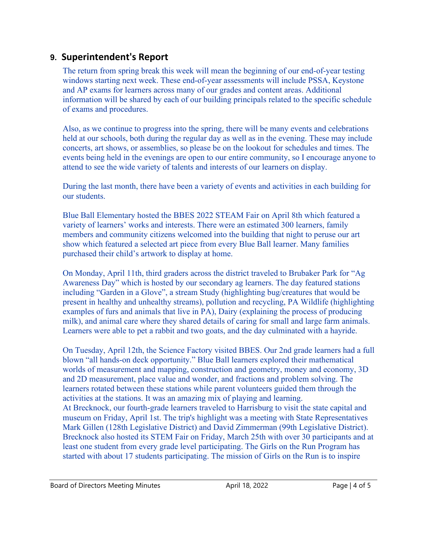# **9. Superintendent's Report**

The return from spring break this week will mean the beginning of our end-of-year testing windows starting next week. These end-of-year assessments will include PSSA, Keystone and AP exams for learners across many of our grades and content areas. Additional information will be shared by each of our building principals related to the specific schedule of exams and procedures.

Also, as we continue to progress into the spring, there will be many events and celebrations held at our schools, both during the regular day as well as in the evening. These may include concerts, art shows, or assemblies, so please be on the lookout for schedules and times. The events being held in the evenings are open to our entire community, so I encourage anyone to attend to see the wide variety of talents and interests of our learners on display.

During the last month, there have been a variety of events and activities in each building for our students.

Blue Ball Elementary hosted the BBES 2022 STEAM Fair on April 8th which featured a variety of learners' works and interests. There were an estimated 300 learners, family members and community citizens welcomed into the building that night to peruse our art show which featured a selected art piece from every Blue Ball learner. Many families purchased their child's artwork to display at home.

On Monday, April 11th, third graders across the district traveled to Brubaker Park for "Ag Awareness Day" which is hosted by our secondary ag learners. The day featured stations including "Garden in a Glove", a stream Study (highlighting bug/creatures that would be present in healthy and unhealthy streams), pollution and recycling, PA Wildlife (highlighting examples of furs and animals that live in PA), Dairy (explaining the process of producing milk), and animal care where they shared details of caring for small and large farm animals. Learners were able to pet a rabbit and two goats, and the day culminated with a hayride.

On Tuesday, April 12th, the Science Factory visited BBES. Our 2nd grade learners had a full blown "all hands-on deck opportunity." Blue Ball learners explored their mathematical worlds of measurement and mapping, construction and geometry, money and economy, 3D and 2D measurement, place value and wonder, and fractions and problem solving. The learners rotated between these stations while parent volunteers guided them through the activities at the stations. It was an amazing mix of playing and learning. At Brecknock, our fourth-grade learners traveled to Harrisburg to visit the state capital and museum on Friday, April 1st. The trip's highlight was a meeting with State Representatives Mark Gillen (128th Legislative District) and David Zimmerman (99th Legislative District). Brecknock also hosted its STEM Fair on Friday, March 25th with over 30 participants and at least one student from every grade level participating. The Girls on the Run Program has started with about 17 students participating. The mission of Girls on the Run is to inspire